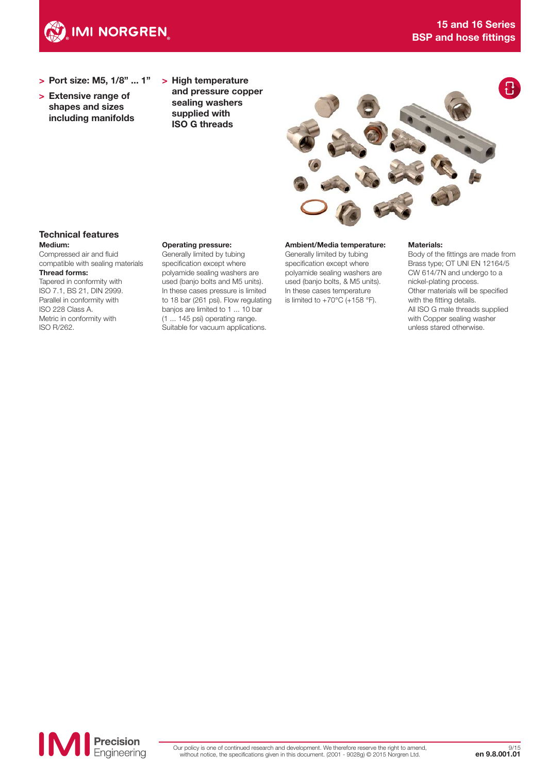

- > Port size: M5, 1/8" ... 1"
- > Extensive range of shapes and sizes including manifolds
- > High temperature and pressure copper sealing washers supplied with ISO G threads



#### Technical features Medium:

Compressed air and fluid compatible with sealing materials Thread forms: Tapered in conformity with

ISO 7.1, BS 21, DIN 2999. Parallel in conformity with ISO 228 Class A. Metric in conformity with ISO R/262.

#### Operating pressure:

Generally limited by tubing specification except where polyamide sealing washers are used (banjo bolts and M5 units). In these cases pressure is limited to 18 bar (261 psi). Flow regulating banjos are limited to 1 ... 10 bar (1 ... 145 psi) operating range. Suitable for vacuum applications.

#### Ambient/Media temperature:

Generally limited by tubing specification except where polyamide sealing washers are used (banjo bolts, & M5 units). In these cases temperature is limited to  $+70^{\circ}$ C (+158  $^{\circ}$ F).

#### Materials:

Body of the fittings are made from Brass type; OT UNI EN 12164/5 CW 614/7N and undergo to a nickel-plating process. Other materials will be specified with the fitting details. All ISO G male threads supplied with Copper sealing washer unless stared otherwise.

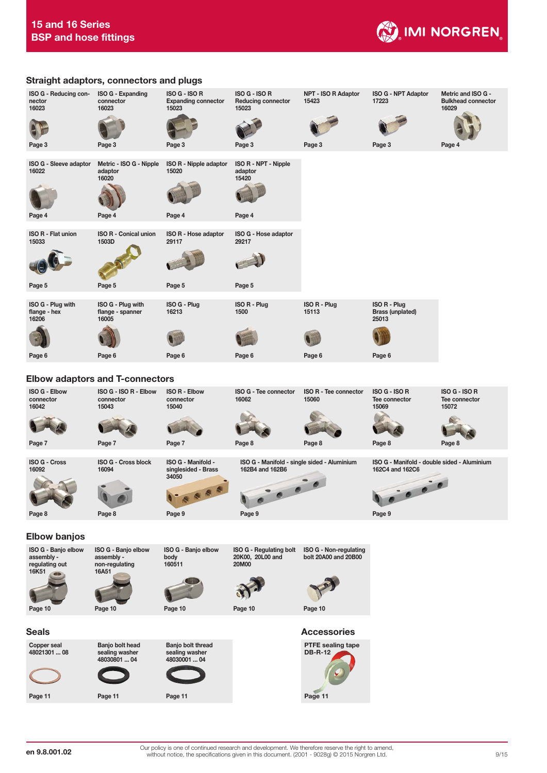



Page 11

Page 11

Page 11

Page 11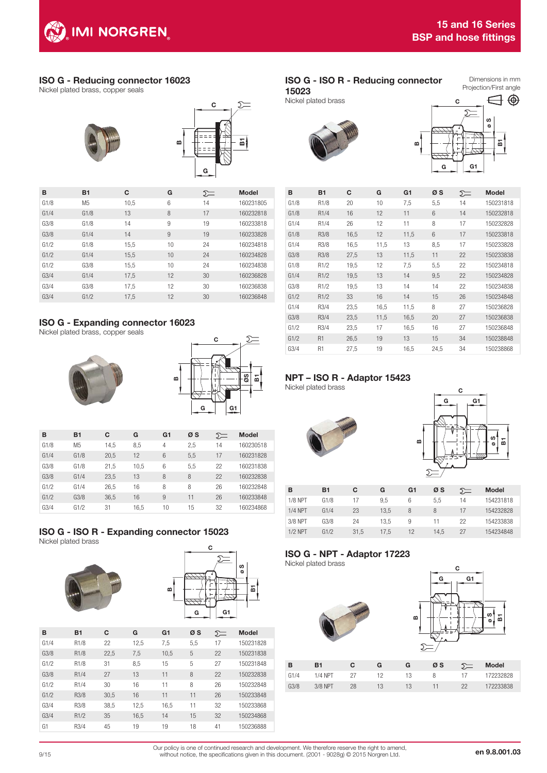## ISO G - Reducing connector 16023

Nickel plated brass, copper seals



| в    | <b>B1</b>      | C    | G  | ∑  | <b>Model</b> |
|------|----------------|------|----|----|--------------|
| G1/8 | M <sub>5</sub> | 10,5 | 6  | 14 | 160231805    |
| G1/4 | G1/8           | 13   | 8  | 17 | 160232818    |
| G3/8 | G1/8           | 14   | 9  | 19 | 160233818    |
| G3/8 | G1/4           | 14   | 9  | 19 | 160233828    |
| G1/2 | G1/8           | 15,5 | 10 | 24 | 160234818    |
| G1/2 | G1/4           | 15,5 | 10 | 24 | 160234828    |
| G1/2 | G3/8           | 15,5 | 10 | 24 | 160234838    |
| G3/4 | G1/4           | 17,5 | 12 | 30 | 160236828    |
| G3/4 | G3/8           | 17,5 | 12 | 30 | 160236838    |
| G3/4 | G1/2           | 17.5 | 12 | 30 | 160236848    |

## ISO G - Expanding connector 16023

Nickel plated brass, copper seals





| в    | <b>B1</b>      | C    | G    | G <sub>1</sub> | øs  | ∑= | <b>Model</b> |
|------|----------------|------|------|----------------|-----|----|--------------|
| G1/8 | M <sub>5</sub> | 14,5 | 8,5  | 4              | 2,5 | 14 | 160230518    |
| G1/4 | G1/8           | 20,5 | 12   | 6              | 5,5 | 17 | 160231828    |
| G3/8 | G1/8           | 21.5 | 10.5 | 6              | 5.5 | 22 | 160231838    |
| G3/8 | G1/4           | 23.5 | 13   | 8              | 8   | 22 | 160232838    |
| G1/2 | G1/4           | 26,5 | 16   | 8              | 8   | 26 | 160232848    |
| G1/2 | G3/8           | 36,5 | 16   | 9              | 11  | 26 | 160233848    |
| G3/4 | G1/2           | 31   | 16.5 | 10             | 15  | 32 | 160234868    |

#### ISO G - ISO R - Expanding connector 15023 Nickel plated brass





| в    | <b>B1</b>         | C    | G    | G <sub>1</sub> | øs  | ∑= | <b>Model</b> |
|------|-------------------|------|------|----------------|-----|----|--------------|
| G1/4 | R <sub>1/8</sub>  | 22   | 12,5 | 7,5            | 5,5 | 17 | 150231828    |
| G3/8 | R <sub>1/8</sub>  | 22,5 | 7,5  | 10,5           | 5   | 22 | 150231838    |
| G1/2 | R <sub>1/8</sub>  | 31   | 8,5  | 15             | 5   | 27 | 150231848    |
| G3/8 | R <sub>1</sub> /4 | 27   | 13   | 11             | 8   | 22 | 150232838    |
| G1/2 | R <sub>1</sub> /4 | 30   | 16   | 11             | 8   | 26 | 150232848    |
| G1/2 | R3/8              | 30.5 | 16   | 11             | 11  | 26 | 150233848    |
| G3/4 | R3/8              | 38,5 | 12,5 | 16,5           | 11  | 32 | 150233868    |
| G3/4 | R1/2              | 35   | 16,5 | 14             | 15  | 32 | 150234868    |
| G1   | R3/4              | 45   | 19   | 19             | 18  | 41 | 150236888    |

B

## ISO G - ISO R - Reducing connector

15023 Nickel plated brass

Dimensions in mm Projection/First angle





| 10<br>7,5<br>G1/8<br>R <sub>1/8</sub><br>20<br>5,5<br>14<br>150231818<br>G1/8<br>14<br>R <sub>1</sub> /4<br>16<br>12<br>11<br>6<br>150232818<br>8<br>G1/4<br>R <sub>1</sub> /4<br>26<br>12<br>11<br>17<br>150232828<br>6<br>G1/8<br>12<br>11,5<br>R3/8<br>16,5<br>17<br>150233818<br>G1/4<br>R3/8<br>16,5<br>11,5<br>13<br>8,5<br>17<br>150233828<br>G3/8<br>R3/8<br>13<br>22<br>150233838<br>11,5<br>27,5<br>11<br>G1/8<br>12<br>7,5<br>150234818<br>R1/2<br>19,5<br>5,5<br>22<br>G1/4<br>R1/2<br>13<br>14<br>22<br>19,5<br>9,5<br>150234828<br>G3/8<br>19,5<br>13<br>14<br>150234838<br>R1/2<br>14<br>22<br>G1/2<br>16<br>14<br>26<br>150234848<br>R1/2<br>33<br>15<br>8<br>G1/4<br>27<br>R3/4<br>23,5<br>16,5<br>11,5<br>150236828<br>G3/8<br>27<br>R3/4<br>23,5<br>11,5<br>16,5<br>20<br>150236838<br>G1/2<br>R3/4<br>23,5<br>16<br>150236848<br>17<br>16,5<br>27<br>G1/2<br>19<br>34<br>150238848<br>R <sub>1</sub><br>26,5<br>13<br>15<br>R <sub>1</sub><br>19<br>G3/4<br>27,5<br>16,5<br>24,5<br>34<br>150238868 | B | <b>B1</b> | С | G | G1 | øs | $\Sigma$ | <b>Model</b> |
|-------------------------------------------------------------------------------------------------------------------------------------------------------------------------------------------------------------------------------------------------------------------------------------------------------------------------------------------------------------------------------------------------------------------------------------------------------------------------------------------------------------------------------------------------------------------------------------------------------------------------------------------------------------------------------------------------------------------------------------------------------------------------------------------------------------------------------------------------------------------------------------------------------------------------------------------------------------------------------------------------------------------------|---|-----------|---|---|----|----|----------|--------------|
|                                                                                                                                                                                                                                                                                                                                                                                                                                                                                                                                                                                                                                                                                                                                                                                                                                                                                                                                                                                                                         |   |           |   |   |    |    |          |              |
|                                                                                                                                                                                                                                                                                                                                                                                                                                                                                                                                                                                                                                                                                                                                                                                                                                                                                                                                                                                                                         |   |           |   |   |    |    |          |              |
|                                                                                                                                                                                                                                                                                                                                                                                                                                                                                                                                                                                                                                                                                                                                                                                                                                                                                                                                                                                                                         |   |           |   |   |    |    |          |              |
|                                                                                                                                                                                                                                                                                                                                                                                                                                                                                                                                                                                                                                                                                                                                                                                                                                                                                                                                                                                                                         |   |           |   |   |    |    |          |              |
|                                                                                                                                                                                                                                                                                                                                                                                                                                                                                                                                                                                                                                                                                                                                                                                                                                                                                                                                                                                                                         |   |           |   |   |    |    |          |              |
|                                                                                                                                                                                                                                                                                                                                                                                                                                                                                                                                                                                                                                                                                                                                                                                                                                                                                                                                                                                                                         |   |           |   |   |    |    |          |              |
|                                                                                                                                                                                                                                                                                                                                                                                                                                                                                                                                                                                                                                                                                                                                                                                                                                                                                                                                                                                                                         |   |           |   |   |    |    |          |              |
|                                                                                                                                                                                                                                                                                                                                                                                                                                                                                                                                                                                                                                                                                                                                                                                                                                                                                                                                                                                                                         |   |           |   |   |    |    |          |              |
|                                                                                                                                                                                                                                                                                                                                                                                                                                                                                                                                                                                                                                                                                                                                                                                                                                                                                                                                                                                                                         |   |           |   |   |    |    |          |              |
|                                                                                                                                                                                                                                                                                                                                                                                                                                                                                                                                                                                                                                                                                                                                                                                                                                                                                                                                                                                                                         |   |           |   |   |    |    |          |              |
|                                                                                                                                                                                                                                                                                                                                                                                                                                                                                                                                                                                                                                                                                                                                                                                                                                                                                                                                                                                                                         |   |           |   |   |    |    |          |              |
|                                                                                                                                                                                                                                                                                                                                                                                                                                                                                                                                                                                                                                                                                                                                                                                                                                                                                                                                                                                                                         |   |           |   |   |    |    |          |              |
|                                                                                                                                                                                                                                                                                                                                                                                                                                                                                                                                                                                                                                                                                                                                                                                                                                                                                                                                                                                                                         |   |           |   |   |    |    |          |              |
|                                                                                                                                                                                                                                                                                                                                                                                                                                                                                                                                                                                                                                                                                                                                                                                                                                                                                                                                                                                                                         |   |           |   |   |    |    |          |              |
|                                                                                                                                                                                                                                                                                                                                                                                                                                                                                                                                                                                                                                                                                                                                                                                                                                                                                                                                                                                                                         |   |           |   |   |    |    |          |              |

## NPT – ISO R - Adaptor 15423

Nickel plated brass





| в              | <b>B1</b> | C    | G    | G1 | øs   | ∑= | <b>Model</b> |
|----------------|-----------|------|------|----|------|----|--------------|
| <b>1/8 NPT</b> | G1/8      | 17   | 9.5  | 6  | 5.5  | 14 | 154231818    |
| $1/4$ NPT      | G1/4      | 23   | 13.5 | 8  | 8    | 17 | 154232828    |
| 3/8 NPT        | G3/8      | 24   | 13.5 | 9  | 11   | 22 | 154233838    |
| $1/2$ NPT      | G1/2      | 31,5 | 17.5 | 12 | 14.5 | 27 | 154234848    |

#### ISO G - NPT - Adaptor 17223 Nickel plated brass





| в    | B1        | C  | G  | G  | ØS |    | <b>Model</b> |
|------|-----------|----|----|----|----|----|--------------|
| G1/4 | $1/4$ NPT | 27 |    | 13 | 8  | 17 | 172232828    |
| G3/8 | 3/8 NPT   | 28 | 13 | 13 | 11 | 22 | 172233838    |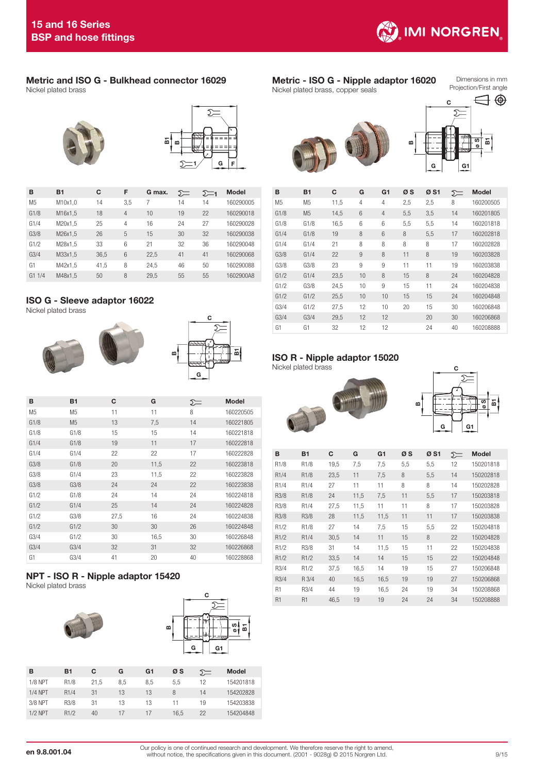

#### Metric and ISO G - Bulkhead connector 16029 Nickel plated brass





| B              | <b>B1</b> | C    | F              | G max. | ∑= | $\Sigma$ -1 | <b>Model</b> |
|----------------|-----------|------|----------------|--------|----|-------------|--------------|
| M <sub>5</sub> | M10x1,0   | 14   | 3,5            | 7      | 14 | 14          | 160290005    |
| G1/8           | M16x1.5   | 18   | $\overline{4}$ | 10     | 19 | 22          | 160290018    |
| G1/4           | M20x1.5   | 25   | 4              | 16     | 24 | 27          | 160290028    |
| G3/8           | M26x1,5   | 26   | 5              | 15     | 30 | 32          | 160290038    |
| G1/2           | M28x1.5   | 33   | 6              | 21     | 32 | 36          | 160290048    |
| G3/4           | M33x1.5   | 36.5 | 6              | 22,5   | 41 | 41          | 160290068    |
| G1             | M42x1.5   | 41.5 | 8              | 24.5   | 46 | 50          | 160290088    |
| G11/4          | M48x1.5   | 50   | 8              | 29.5   | 55 | 55          | 1602900A8    |

## ISO G - Sleeve adaptor 16022

Nickel plated brass





ៜ

| в              | <b>B1</b>      | С    | G    | ∑= | <b>Model</b> |
|----------------|----------------|------|------|----|--------------|
| M <sub>5</sub> | M <sub>5</sub> | 11   | 11   | 8  | 160220505    |
| G1/8           | M <sub>5</sub> | 13   | 7,5  | 14 | 160221805    |
| G1/8           | G1/8           | 15   | 15   | 14 | 160221818    |
| G1/4           | G1/8           | 19   | 11   | 17 | 160222818    |
| G1/4           | G1/4           | 22   | 22   | 17 | 160222828    |
| G3/8           | G1/8           | 20   | 11,5 | 22 | 160223818    |
| G3/8           | G1/4           | 23   | 11,5 | 22 | 160223828    |
| G3/8           | G3/8           | 24   | 24   | 22 | 160223838    |
| G1/2           | G1/8           | 24   | 14   | 24 | 160224818    |
| G1/2           | G1/4           | 25   | 14   | 24 | 160224828    |
| G1/2           | G3/8           | 27,5 | 16   | 24 | 160224838    |
| G1/2           | G1/2           | 30   | 30   | 26 | 160224848    |
| G3/4           | G1/2           | 30   | 16,5 | 30 | 160226848    |
| G3/4           | G3/4           | 32   | 31   | 32 | 160226868    |
| G1             | G3/4           | 41   | 20   | 40 | 160228868    |

## NPT - ISO R - Nipple adaptor 15420

Nickel plated brass





| в              | <b>B1</b>         | C    | G   | G1  | øs   | ∑= | <b>Model</b> |
|----------------|-------------------|------|-----|-----|------|----|--------------|
| <b>1/8 NPT</b> | R <sub>1/8</sub>  | 21.5 | 8,5 | 8.5 | 5,5  | 12 | 154201818    |
| $1/4$ NPT      | R <sub>1</sub> /4 | 31   | 13  | 13  | 8    | 14 | 154202828    |
| 3/8 NPT        | R3/8              | 31   | 13  | 13  | 11   | 19 | 154203838    |
| $1/2$ NPT      | R1/2              | 40   | 17  | 17  | 16.5 | 22 | 154204848    |

#### Metric - ISO G - Nipple adaptor 16020 Nickel plated brass, copper seals

Dimensions in mm Projection/First angle





| в              | <b>B1</b>      | C    | G  | G <sub>1</sub> | øs  | ØS1 | $\Sigma$ | <b>Model</b> |
|----------------|----------------|------|----|----------------|-----|-----|----------|--------------|
| M <sub>5</sub> | M <sub>5</sub> | 11,5 | 4  | 4              | 2,5 | 2,5 | 8        | 160200505    |
| G1/8           | M <sub>5</sub> | 14,5 | 6  | $\overline{4}$ | 5,5 | 3,5 | 14       | 160201805    |
| G1/8           | G1/8           | 16,5 | 6  | 6              | 5,5 | 5,5 | 14       | 160201818    |
| G1/4           | G1/8           | 19   | 8  | 6              | 8   | 5,5 | 17       | 160202818    |
| G1/4           | G1/4           | 21   | 8  | 8              | 8   | 8   | 17       | 160202828    |
| G3/8           | G1/4           | 22   | 9  | 8              | 11  | 8   | 19       | 160203828    |
| G3/8           | G3/8           | 23   | 9  | 9              | 11  | 11  | 19       | 160203838    |
| G1/2           | G1/4           | 23,5 | 10 | 8              | 15  | 8   | 24       | 160204828    |
| G1/2           | G3/8           | 24,5 | 10 | 9              | 15  | 11  | 24       | 160204838    |
| G1/2           | G1/2           | 25,5 | 10 | 10             | 15  | 15  | 24       | 160204848    |
| G3/4           | G1/2           | 27,5 | 12 | 10             | 20  | 15  | 30       | 160206848    |
| G3/4           | G3/4           | 29,5 | 12 | 12             |     | 20  | 30       | 160206868    |
| G1             | G1             | 32   | 12 | 12             |     | 24  | 40       | 160208888    |

## ISO R - Nipple adaptor 15020

Nickel plated brass





| в                 | <b>B1</b>         | C    | G    | G <sub>1</sub> | øs  | ØS1 | ∑= | <b>Model</b> |
|-------------------|-------------------|------|------|----------------|-----|-----|----|--------------|
| R <sub>1/8</sub>  | R <sub>1/8</sub>  | 19,5 | 7,5  | 7,5            | 5,5 | 5,5 | 12 | 150201818    |
| R <sub>1</sub> /4 | R <sub>1/8</sub>  | 23,5 | 11   | 7,5            | 8   | 5,5 | 14 | 150202818    |
| R <sub>1</sub> /4 | R <sub>1</sub> /4 | 27   | 11   | 11             | 8   | 8   | 14 | 150202828    |
| R3/8              | R <sub>1/8</sub>  | 24   | 11,5 | 7,5            | 11  | 5,5 | 17 | 150203818    |
| R3/8              | R <sub>1</sub> /4 | 27,5 | 11,5 | 11             | 11  | 8   | 17 | 150203828    |
| R3/8              | R3/8              | 28   | 11,5 | 11,5           | 11  | 11  | 17 | 150203838    |
| R <sub>1/2</sub>  | R <sub>1/8</sub>  | 27   | 14   | 7,5            | 15  | 5,5 | 22 | 150204818    |
| R1/2              | R <sub>1</sub> /4 | 30,5 | 14   | 11             | 15  | 8   | 22 | 150204828    |
| R <sub>1</sub> /2 | R3/8              | 31   | 14   | 11,5           | 15  | 11  | 22 | 150204838    |
| R1/2              | R1/2              | 33,5 | 14   | 14             | 15  | 15  | 22 | 150204848    |
| R3/4              | R1/2              | 37,5 | 16,5 | 14             | 19  | 15  | 27 | 150206848    |
| R3/4              | R 3/4             | 40   | 16,5 | 16,5           | 19  | 19  | 27 | 150206868    |
| R <sub>1</sub>    | R3/4              | 44   | 19   | 16,5           | 24  | 19  | 34 | 150208868    |
| R <sub>1</sub>    | R <sub>1</sub>    | 46.5 | 19   | 19             | 24  | 24  | 34 | 150208888    |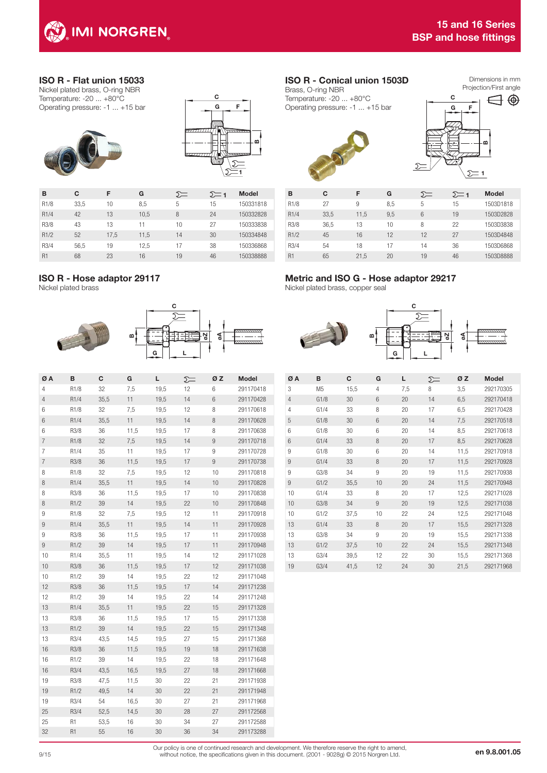

## ISO R - Flat union 15033

Nickel plated brass, O-ring NBR Temperature: -20 ... +80°C Operating pressure: -1 ... +15 bar





| в                 | С    | F    | G    | ∑= | ∑— 1 | <b>Model</b> |
|-------------------|------|------|------|----|------|--------------|
| R <sub>1/8</sub>  | 33.5 | 10   | 8.5  | 5  | 15   | 150331818    |
| R <sub>1</sub> /4 | 42   | 13   | 10,5 | 8  | 24   | 150332828    |
| R3/8              | 43   | 13   | 11   | 10 | 27   | 150333838    |
| R1/2              | 52   | 17,5 | 11,5 | 14 | 30   | 150334848    |
| R3/4              | 56.5 | 19   | 12.5 | 17 | 38   | 150336868    |
| R <sub>1</sub>    | 68   | 23   | 16   | 19 | 46   | 150338888    |

## ISO R - Hose adaptor 29117

Nickel plated brass



| ØΑ             | в                | С    | G    | L    | Ç, | ØΖ | <b>Model</b> |
|----------------|------------------|------|------|------|----|----|--------------|
| 4              | R <sub>1/8</sub> | 32   | 7,5  | 19,5 | 12 | 6  | 291170418    |
| $\overline{4}$ | R1/4             | 35,5 | 11   | 19,5 | 14 | 6  | 291170428    |
| 6              | R1/8             | 32   | 7,5  | 19,5 | 12 | 8  | 291170618    |
| 6              | R1/4             | 35,5 | 11   | 19,5 | 14 | 8  | 291170628    |
| 6              | R3/8             | 36   | 11,5 | 19,5 | 17 | 8  | 291170638    |
| 7              | R1/8             | 32   | 7,5  | 19,5 | 14 | 9  | 291170718    |
| 7              | R1/4             | 35   | 11   | 19,5 | 17 | 9  | 291170728    |
| 7              | R3/8             | 36   | 11,5 | 19,5 | 17 | 9  | 291170738    |
| 8              | R1/8             | 32   | 7,5  | 19,5 | 12 | 10 | 291170818    |
| 8              | R1/4             | 35,5 | 11   | 19,5 | 14 | 10 | 291170828    |
| 8              | R3/8             | 36   | 11,5 | 19,5 | 17 | 10 | 291170838    |
| 8              | R1/2             | 39   | 14   | 19,5 | 22 | 10 | 291170848    |
| 9              | R1/8             | 32   | 7,5  | 19,5 | 12 | 11 | 291170918    |
| 9              | R1/4             | 35,5 | 11   | 19,5 | 14 | 11 | 291170928    |
| 9              | R3/8             | 36   | 11,5 | 19,5 | 17 | 11 | 291170938    |
| 9              | R1/2             | 39   | 14   | 19,5 | 17 | 11 | 291170948    |
| 10             | R1/4             | 35,5 | 11   | 19,5 | 14 | 12 | 291171028    |
| 10             | R3/8             | 36   | 11,5 | 19,5 | 17 | 12 | 291171038    |
| 10             | R1/2             | 39   | 14   | 19,5 | 22 | 12 | 291171048    |
| 12             | R3/8             | 36   | 11,5 | 19,5 | 17 | 14 | 291171238    |
| 12             | R1/2             | 39   | 14   | 19,5 | 22 | 14 | 291171248    |
| 13             | R1/4             | 35,5 | 11   | 19,5 | 22 | 15 | 291171328    |
| 13             | R3/8             | 36   | 11,5 | 19,5 | 17 | 15 | 291171338    |
| 13             | R1/2             | 39   | 14   | 19,5 | 22 | 15 | 291171348    |
| 13             | R3/4             | 43,5 | 14,5 | 19,5 | 27 | 15 | 291171368    |
| 16             | R3/8             | 36   | 11,5 | 19,5 | 19 | 18 | 291171638    |
| 16             | R1/2             | 39   | 14   | 19,5 | 22 | 18 | 291171648    |
| 16             | R3/4             | 43,5 | 16,5 | 19,5 | 27 | 18 | 291171668    |
| 19             | R3/8             | 47,5 | 11,5 | 30   | 22 | 21 | 291171938    |
| 19             | R1/2             | 49,5 | 14   | 30   | 22 | 21 | 291171948    |
| 19             | R3/4             | 54   | 16,5 | 30   | 27 | 21 | 291171968    |
| 25             | R3/4             | 52,5 | 14,5 | 30   | 28 | 27 | 291172568    |
| 25             | R <sub>1</sub>   | 53,5 | 16   | 30   | 34 | 27 | 291172588    |
| 32             | R <sub>1</sub>   | 55   | 16   | 30   | 36 | 34 | 291173288    |
|                |                  |      |      |      |    |    |              |

## ISO R - Conical union 1503D

Brass, O-ring NBR Temperature: -20 ... +80°C Operating pressure: -1 ... +15 bar







| в                 | C    | F    | G   | ∑= | $\sum$ 1 | <b>Model</b> |
|-------------------|------|------|-----|----|----------|--------------|
| R <sub>1/8</sub>  | 27   | 9    | 8.5 | 5  | 15       | 1503D1818    |
| R <sub>1</sub> /4 | 33.5 | 11.5 | 9.5 | 6  | 19       | 1503D2828    |
| R3/8              | 36.5 | 13   | 10  | 8  | 22       | 1503D3838    |
| R1/2              | 45   | 16   | 12  | 12 | 27       | 1503D4848    |
| R3/4              | 54   | 18   | 17  | 14 | 36       | 1503D6868    |
| R <sub>1</sub>    | 65   | 21.5 | 20  | 19 | 46       | 1503D8888    |

## Metric and ISO G - Hose adaptor 29217

Nickel plated brass, copper seal



| ØΑ             | в              | C    | G               | L   | ∑= | ØΖ   | <b>Model</b> |
|----------------|----------------|------|-----------------|-----|----|------|--------------|
| 3              | M <sub>5</sub> | 15,5 | 4               | 7,5 | 8  | 3,5  | 292170305    |
| $\overline{4}$ | G1/8           | 30   | $6\overline{6}$ | 20  | 14 | 6,5  | 292170418    |
| 4              | G1/4           | 33   | 8               | 20  | 17 | 6,5  | 292170428    |
| 5              | G1/8           | 30   | 6               | 20  | 14 | 7,5  | 292170518    |
| 6              | G1/8           | 30   | 6               | 20  | 14 | 8,5  | 292170618    |
| 6              | G1/4           | 33   | 8               | 20  | 17 | 8,5  | 292170628    |
| 9              | G1/8           | 30   | 6               | 20  | 14 | 11,5 | 292170918    |
| 9              | G1/4           | 33   | 8               | 20  | 17 | 11,5 | 292170928    |
| 9              | G3/8           | 34   | 9               | 20  | 19 | 11,5 | 292170938    |
| 9              | G1/2           | 35,5 | 10              | 20  | 24 | 11,5 | 292170948    |
| 10             | G1/4           | 33   | 8               | 20  | 17 | 12,5 | 292171028    |
| 10             | G3/8           | 34   | 9               | 20  | 19 | 12,5 | 292171038    |
| 10             | G1/2           | 37,5 | 10              | 22  | 24 | 12,5 | 292171048    |
| 13             | G1/4           | 33   | 8               | 20  | 17 | 15,5 | 292171328    |
| 13             | G3/8           | 34   | 9               | 20  | 19 | 15,5 | 292171338    |
| 13             | G1/2           | 37,5 | 10              | 22  | 24 | 15,5 | 292171348    |
| 13             | G3/4           | 39,5 | 12              | 22  | 30 | 15,5 | 292171368    |
| 19             | G3/4           | 41,5 | 12              | 24  | 30 | 21,5 | 292171968    |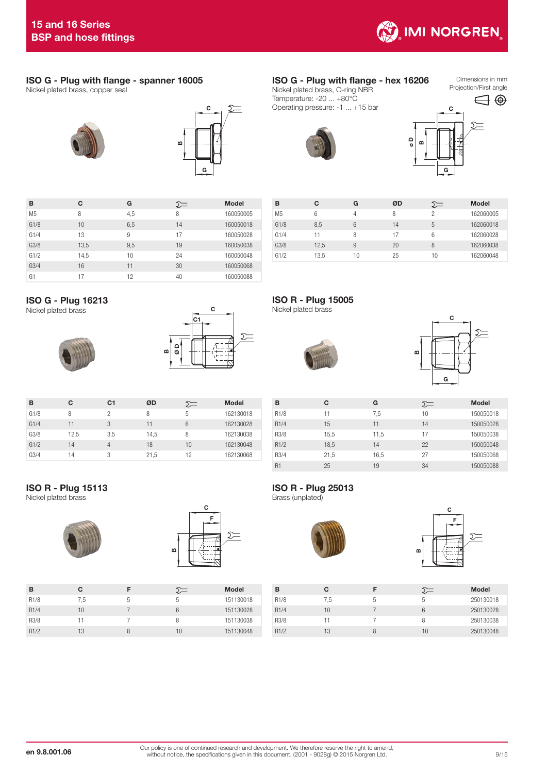

## ISO G - Plug with flange - spanner 16005

Nickel plated brass, copper seal





| в              | С    | G   | ∑≕ | <b>Model</b> |
|----------------|------|-----|----|--------------|
| M <sub>5</sub> | 8    | 4,5 | 8  | 160050005    |
| G1/8           | 10   | 6,5 | 14 | 160050018    |
| G1/4           | 13   | 9   | 17 | 160050028    |
| G3/8           | 13,5 | 9,5 | 19 | 160050038    |
| G1/2           | 14,5 | 10  | 24 | 160050048    |
| G3/4           | 16   | 11  | 30 | 160050068    |
| G1             | 17   | 12  | 40 | 160050088    |

## ISO G - Plug 16213

Nickel plated brass





| B    | C    | C <sub>1</sub> | ØD   | $5=$ | <b>Model</b> |
|------|------|----------------|------|------|--------------|
| G1/8 | 8    | 2              | 8    | 5    | 162130018    |
| G1/4 | 11   | 3              | 11   | 6    | 162130028    |
| G3/8 | 12,5 | 3,5            | 14,5 | 8    | 162130038    |
| G1/2 | 14   | 4              | 18   | 10   | 162130048    |
| G3/4 | 14   | 3              | 21.5 | 12   | 162130068    |

#### ISO G - Plug with flange - hex 16206 Nickel plated brass, O-ring NBR Temperature: -20 ... +80°C Operating pressure: -1 ... +15 bar

Dimensions in mm Projection/First angle



| B              | С    | G  | ØD | ∑≕ | <b>Model</b> |
|----------------|------|----|----|----|--------------|
| M <sub>5</sub> | 6    | 4  | 8  | っ  | 162060005    |
| G1/8           | 8,5  | 6  | 14 | 5  | 162060018    |
| G1/4           | 11   | 8  | 17 | 6  | 162060028    |
| G3/8           | 12,5 | 9  | 20 | 8  | 162060038    |
| G1/2           | 13.5 | 10 | 25 | 10 | 162060048    |

ISO R - Plug 15005







| в                 | C    | G    | ∑≕ | <b>Model</b> |
|-------------------|------|------|----|--------------|
| R <sub>1/8</sub>  | 11   | 7,5  | 10 | 150050018    |
| R <sub>1</sub> /4 | 15   | 11   | 14 | 150050028    |
| R3/8              | 15.5 | 11,5 | 17 | 150050038    |
| R1/2              | 18,5 | 14   | 22 | 150050048    |
| R3/4              | 21,5 | 16.5 | 27 | 150050068    |
| R <sub>1</sub>    | 25   | 19   | 34 | 150050088    |

## ISO R - Plug 15113

Nickel plated brass





| B                 | C   |   | ∑≔ | <b>Model</b> |
|-------------------|-----|---|----|--------------|
| R <sub>1/8</sub>  | 7.5 | 5 | 5  | 151130018    |
| R <sub>1</sub> /4 | 10  |   | 6  | 151130028    |
| R3/8              | 11  |   | 8  | 151130038    |
| R1/2              | 13  |   | 10 | 151130048    |

## ISO R - Plug 25013

Brass (unplated)





| в                 | С   |   |    | <b>Model</b> |
|-------------------|-----|---|----|--------------|
| R <sub>1/8</sub>  | 7,5 | 5 | 5  | 250130018    |
| R <sub>1</sub> /4 | 10  |   | 6  | 250130028    |
| R3/8              |     |   | 8  | 250130038    |
| R1/2              | 13  | 8 | 10 | 250130048    |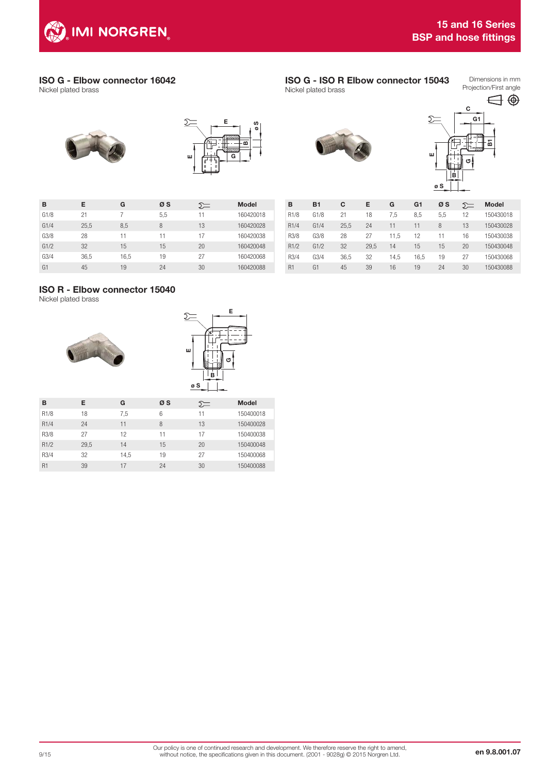

## ISO G - Elbow connector 16042

Nickel plated brass

 $\sum$ E œ G E

ø S

| B              | Е    | G    | øs  | $5=$ | <b>Model</b> |
|----------------|------|------|-----|------|--------------|
| G1/8           | 21   | 7    | 5,5 | 11   | 160420018    |
| G1/4           | 25,5 | 8,5  | 8   | 13   | 160420028    |
| G3/8           | 28   | 11   | 11  | 17   | 160420038    |
| G1/2           | 32   | 15   | 15  | 20   | 160420048    |
| G3/4           | 36,5 | 16,5 | 19  | 27   | 160420068    |
| G <sub>1</sub> | 45   | 19   | 24  | 30   | 160420088    |

## ISO R - Elbow connector 15040

Nickel plated brass





| в                 | Е    | G    | øs | ∑≔ | <b>Model</b> |
|-------------------|------|------|----|----|--------------|
| R <sub>1/8</sub>  | 18   | 7,5  | 6  | 11 | 150400018    |
| R <sub>1</sub> /4 | 24   | 11   | 8  | 13 | 150400028    |
| R3/8              | 27   | 12   | 11 | 17 | 150400038    |
| R1/2              | 29.5 | 14   | 15 | 20 | 150400048    |
| R3/4              | 32   | 14.5 | 19 | 27 | 150400068    |
| R <sub>1</sub>    | 39   | 17   | 24 | 30 | 150400088    |

# ISO G - ISO R Elbow connector 15043

Nickel plated brass



B

ø S

| B                 | <b>B1</b> | C    | Е    | G    | G <sub>1</sub> | øs  | ∑= | <b>Model</b> |
|-------------------|-----------|------|------|------|----------------|-----|----|--------------|
| R <sub>1/8</sub>  | G1/8      | 21   | 18   | 7,5  | 8,5            | 5,5 | 12 | 150430018    |
| R <sub>1</sub> /4 | G1/4      | 25,5 | 24   | 11   | 11             | 8   | 13 | 150430028    |
| R3/8              | G3/8      | 28   | 27   | 11.5 | 12             | 11  | 16 | 150430038    |
| R1/2              | G1/2      | 32   | 29.5 | 14   | 15             | 15  | 20 | 150430048    |
| R3/4              | G3/4      | 36,5 | 32   | 14,5 | 16,5           | 19  | 27 | 150430068    |
| R <sub>1</sub>    | G1        | 45   | 39   | 16   | 19             | 24  | 30 | 150430088    |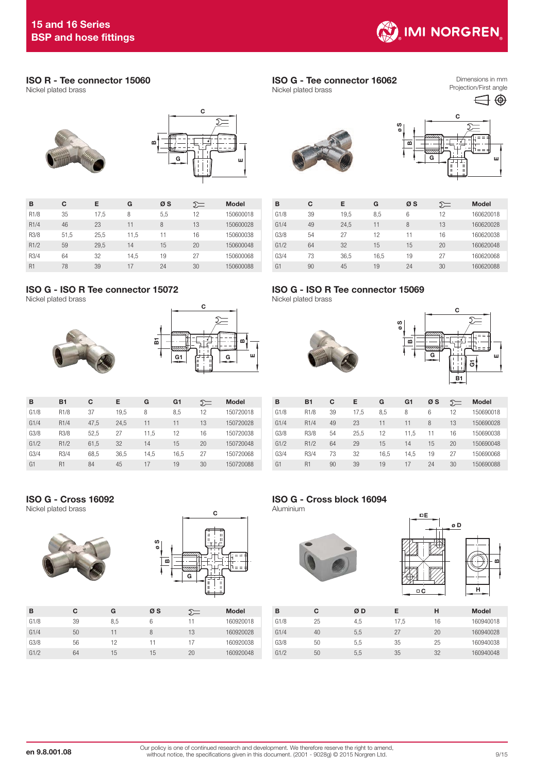

## ISO R - Tee connector 15060

Nickel plated brass



| в                 | C    | Е    | G    | øs  | ∑⊟ | <b>Model</b> |
|-------------------|------|------|------|-----|----|--------------|
| R <sub>1/8</sub>  | 35   | 17,5 | 8    | 5.5 | 12 | 150600018    |
| R <sub>1</sub> /4 | 46   | 23   | 11   | 8   | 13 | 150600028    |
| R3/8              | 51,5 | 25,5 | 11.5 | 11  | 16 | 150600038    |
| R1/2              | 59   | 29,5 | 14   | 15  | 20 | 150600048    |
| R3/4              | 64   | 32   | 14.5 | 19  | 27 | 150600068    |
| R <sub>1</sub>    | 78   | 39   | 17   | 24  | 30 | 150600088    |

## ISO G - ISO R Tee connector 15072

Nickel plated brass





| в              | <b>B1</b>         | C    | Е    | G    | G <sub>1</sub> | ∑= | <b>Model</b> |
|----------------|-------------------|------|------|------|----------------|----|--------------|
| G1/8           | R <sub>1/8</sub>  | 37   | 19.5 | 8    | 8.5            | 12 | 150720018    |
| G1/4           | R <sub>1</sub> /4 | 47,5 | 24,5 | 11   | 11             | 13 | 150720028    |
| G3/8           | R3/8              | 52.5 | 27   | 11.5 | 12             | 16 | 150720038    |
| G1/2           | R1/2              | 61,5 | 32   | 14   | 15             | 20 | 150720048    |
| G3/4           | R3/4              | 68.5 | 36.5 | 14.5 | 16.5           | 27 | 150720068    |
| G <sub>1</sub> | R <sub>1</sub>    | 84   | 45   | 17   | 19             | 30 | 150720088    |

ISO G - Cross 16092

Nickel plated brass





| в    | С  | G   | øs | ∑=  | <b>Model</b> |
|------|----|-----|----|-----|--------------|
| G1/8 | 39 | 8,5 | 6  | ו ו | 160920018    |
| G1/4 | 50 | 11  | 8  | 13  | 160920028    |
| G3/8 | 56 | 12  | 11 | 17  | 160920038    |
| G1/2 | 64 | 15  | 15 | 20  | 160920048    |

#### ISO G - Tee connector 16062 Nickel plated brass

Dimensions in mm Projection/First angle





| в              | С  | Е    | G    | øs | ∑= | <b>Model</b> |
|----------------|----|------|------|----|----|--------------|
| G1/8           | 39 | 19,5 | 8.5  | 6  | 12 | 160620018    |
| G1/4           | 49 | 24.5 | 11   | 8  | 13 | 160620028    |
| G3/8           | 54 | 27   | 12   | 11 | 16 | 160620038    |
| G1/2           | 64 | 32   | 15   | 15 | 20 | 160620048    |
| G3/4           | 73 | 36,5 | 16.5 | 19 | 27 | 160620068    |
| G <sub>1</sub> | 90 | 45   | 19   | 24 | 30 | 160620088    |

## ISO G - ISO R Tee connector 15069

Nickel plated brass





| в              | <b>B1</b>        | C  | Е    | G    | G <sub>1</sub> | øs | ∑= | <b>Model</b> |
|----------------|------------------|----|------|------|----------------|----|----|--------------|
| G1/8           | R <sub>1/8</sub> | 39 | 17.5 | 8.5  | 8              | 6  | 12 | 150690018    |
| G1/4           | R <sub>1/4</sub> | 49 | 23   | 11   | 11             | 8  | 13 | 150690028    |
| G3/8           | R3/8             | 54 | 25.5 | 12   | 11.5           | 11 | 16 | 150690038    |
| G1/2           | R1/2             | 64 | 29   | 15   | 14             | 15 | 20 | 150690048    |
| G3/4           | R3/4             | 73 | 32   | 16.5 | 14.5           | 19 | 27 | 150690068    |
| G <sub>1</sub> | R <sub>1</sub>   | 90 | 39   | 19   | 17             | 24 | 30 | 150690088    |

## ISO G - Cross block 16094

Aluminium





| в    | С  | ØD  | Е    | н  | <b>Model</b> |
|------|----|-----|------|----|--------------|
| G1/8 | 25 | 4.5 | 17.5 | 16 | 160940018    |
| G1/4 | 40 | 5.5 | 27   | 20 | 160940028    |
| G3/8 | 50 | 5.5 | 35   | 25 | 160940038    |
| G1/2 | 50 | 5.5 | 35   | 32 | 160940048    |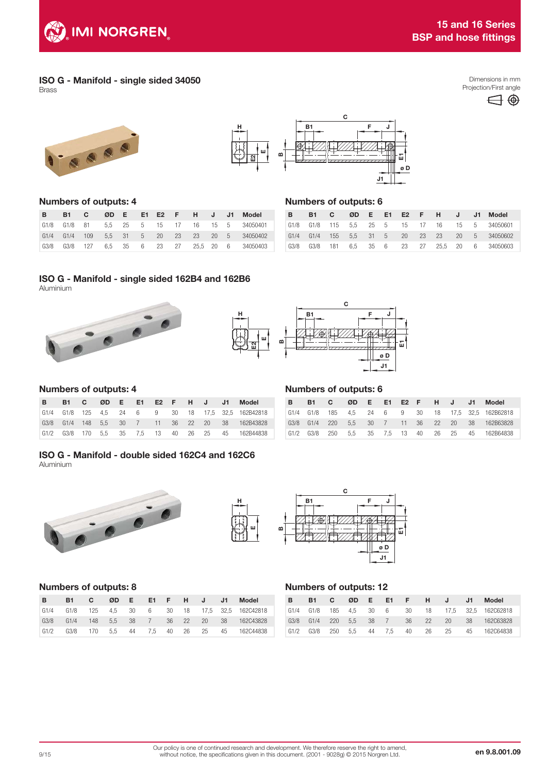

## ISO G - Manifold - single sided 34050

Brass











### Numbers of outputs: 4

| $\overline{B}$ | <b>B1 C</b> |  |  |  |  | ØD E E1 E2 F H J J1 Model                       |
|----------------|-------------|--|--|--|--|-------------------------------------------------|
|                |             |  |  |  |  | G1/8 G1/8 81 5.5 25 5 15 17 16 15 5 34050401    |
|                |             |  |  |  |  | G1/4 G1/4 109 5,5 31 5 20 23 23 20 5 34050402   |
|                |             |  |  |  |  | G3/8 G3/8 127 6,5 35 6 23 27 25,5 20 6 34050403 |

# Numbers of outputs: 6

|  |  |  |  |  |  | B B1 C ØD E E1 E2 F H J J1 Model                |
|--|--|--|--|--|--|-------------------------------------------------|
|  |  |  |  |  |  | G1/8 G1/8 115 5,5 25 5 15 17 16 15 5 34050601   |
|  |  |  |  |  |  | G1/4 G1/4 155 5,5 31 5 20 23 23 20 5 34050602   |
|  |  |  |  |  |  | G3/8 G3/8 181 6,5 35 6 23 27 25,5 20 6 34050603 |

## ISO G - Manifold - single sided 162B4 and 162B6 Aluminium





## Numbers of outputs: 4

| <b>B</b> |  |  |  |  |  | B1 C ØD E E1 E2 F H J J1 Model                     |
|----------|--|--|--|--|--|----------------------------------------------------|
|          |  |  |  |  |  | G1/4 G1/8 125 4,5 24 6 9 30 18 17,5 32,5 162B42818 |
|          |  |  |  |  |  | G3/8 G1/4 148 5,5 30 7 11 36 22 20 38 162B43828    |
|          |  |  |  |  |  | G1/2 G3/8 170 5,5 35 7,5 13 40 26 25 45 162B44838  |

#### Numbers of outputs: 6

| <b>B</b> |  |  |  |  |  | B1 C ØD E E1 E2 F H J J1 Model                     |  |
|----------|--|--|--|--|--|----------------------------------------------------|--|
|          |  |  |  |  |  | G1/4 G1/8 185 4,5 24 6 9 30 18 17,5 32,5 162B62818 |  |
|          |  |  |  |  |  | G3/8 G1/4 220 5,5 30 7 11 36 22 20 38 162B63828    |  |
|          |  |  |  |  |  | G1/2 G3/8 250 5,5 35 7,5 13 40 26 25 45 162B64838  |  |

### ISO G - Manifold - double sided 162C4 and 162C6 Aluminium







## Numbers of outputs: 8

| $\overline{B}$ | B1 C ØD E E1 F H J J1 Model |  |  |  |  |                                                  |
|----------------|-----------------------------|--|--|--|--|--------------------------------------------------|
|                |                             |  |  |  |  | G1/4 G1/8 125 4,5 30 6 30 18 17,5 32,5 162C42818 |
|                |                             |  |  |  |  | G3/8 G1/4 148 5,5 38 7 36 22 20 38 162C43828     |
|                |                             |  |  |  |  | G1/2 G3/8 170 5.5 44 7.5 40 26 25 45 162C44838   |

## Numbers of outputs: 12

| B. | <b>B1</b> | $\overline{c}$ |  |  | ØDE E1 FHJ | $-J1$ | Model                                            |
|----|-----------|----------------|--|--|------------|-------|--------------------------------------------------|
|    |           |                |  |  |            |       | G1/4 G1/8 185 4,5 30 6 30 18 17,5 32,5 162C62818 |
|    |           |                |  |  |            |       | G3/8 G1/4 220 5.5 38 7 36 22 20 38 162C63828     |
|    |           |                |  |  |            |       | G1/2 G3/8 250 5,5 44 7,5 40 26 25 45 162C64838   |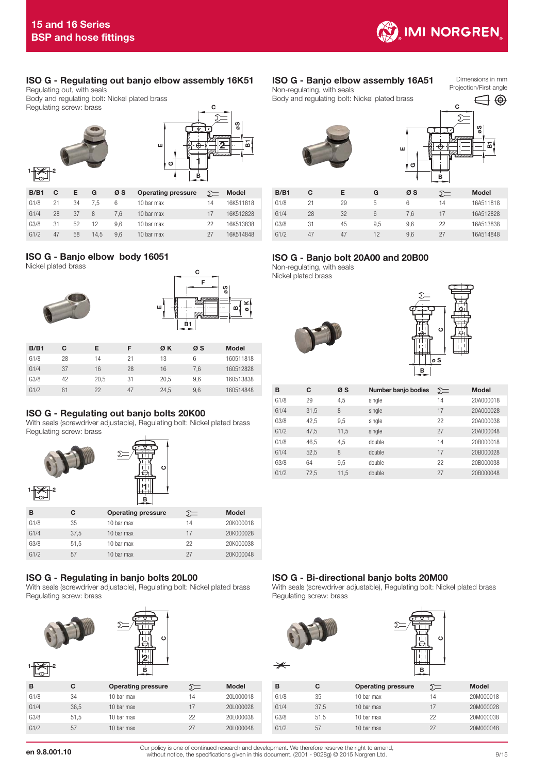

## ISO G - Regulating out banjo elbow assembly 16K51

Regulating out, with seals Body and regulating bolt: Nickel plated brass Regulating screw: brass



| <br>. .<br>IJ<br>O |   | с<br>Ummail | o S | ៜ |
|--------------------|---|-------------|-----|---|
|                    |   |             |     |   |
|                    | в |             |     |   |

| B/B1 | C  | Е. | G    | øs  | <b>Operating pressure</b> | $\Sigma$ | Model     |
|------|----|----|------|-----|---------------------------|----------|-----------|
| G1/8 | 21 | 34 | 7.5  | 6   | 10 bar max                | 14       | 16K511818 |
| G1/4 | 28 | 37 | 8    | 7.6 | 10 bar max                | 17       | 16K512828 |
| G3/8 | 31 | 52 | 12   | 9.6 | 10 bar max                | 22       | 16K513838 |
| G1/2 | 47 | 58 | 14.5 | 9.6 | 10 bar max                | 27       | 16K514848 |

## ISO G - Banjo elbow body 16051

Nickel plated brass





| B/B1 | C  | Е    | F  | ØΚ   | øs  | <b>Model</b> |
|------|----|------|----|------|-----|--------------|
| G1/8 | 28 | 14   | 21 | 13   | 6   | 160511818    |
| G1/4 | 37 | 16   | 28 | 16   | 7.6 | 160512828    |
| G3/8 | 42 | 20.5 | 31 | 20.5 | 9.6 | 160513838    |
| G1/2 | 61 | 22   | 47 | 24.5 | 9,6 | 160514848    |

## ISO G - Regulating out banjo bolts 20K00

With seals (screwdriver adjustable), Regulating bolt: Nickel plated brass Regulating screw: brass



## ISO G - Regulating in banjo bolts 20L00

With seals (screwdriver adjustable), Regulating bolt: Nickel plated brass Regulating screw: brass

G1/2 57 10 bar max 27 20K000048



| в    | С    | <b>Operating pressure</b> | ১≔ | Model     |
|------|------|---------------------------|----|-----------|
| G1/8 | 34   | 10 bar max                | 14 | 20L000018 |
| G1/4 | 36.5 | 10 bar max                | 17 | 201000028 |
| G3/8 | 51.5 | 10 bar max                | 22 | 201000038 |
| G1/2 | 57   | 10 bar max                | 27 | 201000048 |
|      |      |                           |    |           |

#### ISO G - Banjo elbow assembly 16A51 Non-regulating, with seals

Body and regulating bolt: Nickel plated brass

Dimensions in mm Projection/First angle





| B/B1 | С  | Е  | G   | øs  | ∑≕ | <b>Model</b> |
|------|----|----|-----|-----|----|--------------|
| G1/8 | 21 | 29 | 5   | 6   | 14 | 16A511818    |
| G1/4 | 28 | 32 | 6   | 7,6 | 17 | 16A512828    |
| G3/8 | 31 | 45 | 9.5 | 9.6 | 22 | 16A513838    |
| G1/2 | 47 | 47 | 12  | 9.6 | 27 | 16A514848    |

E

## ISO G - Banjo bolt 20A00 and 20B00

Non-regulating, with seals Nickel plated brass





| B    | C    | øs   | Number banjo bodies | $\Sigma$ | Model     |
|------|------|------|---------------------|----------|-----------|
| G1/8 | 29   | 4,5  | single              | 14       | 20A000018 |
| G1/4 | 31.5 | 8    | single              | 17       | 20A000028 |
| G3/8 | 42.5 | 9,5  | single              | 22       | 20A000038 |
| G1/2 | 47.5 | 11.5 | single              | 27       | 20A000048 |
| G1/8 | 46.5 | 4.5  | double              | 14       | 20B000018 |
| G1/4 | 52.5 | 8    | double              | 17       | 20B000028 |
| G3/8 | 64   | 9,5  | double              | 22       | 20B000038 |
| G1/2 | 72.5 | 11.5 | double              | 27       | 20B000048 |

## ISO G - Bi-directional banjo bolts 20M00

With seals (screwdriver adjustable), Regulating bolt: Nickel plated brass Regulating screw: brass



| $\Sigma$ | Model     | в    | c    | <b>Operating pressure</b> | $\Sigma$ | <b>Model</b> |
|----------|-----------|------|------|---------------------------|----------|--------------|
| 14       | 201000018 | G1/8 | 35   | 10 bar max                | 14       | 20M000018    |
| 17       | 201000028 | G1/4 | 37.5 | 10 bar max                | 17       | 20M000028    |
| 22       | 201000038 | G3/8 | 51.5 | 10 bar max                | 22       | 20M000038    |
| 27       | 201000048 | G1/2 | 57   | 10 bar max                | 27       | 20M000048    |